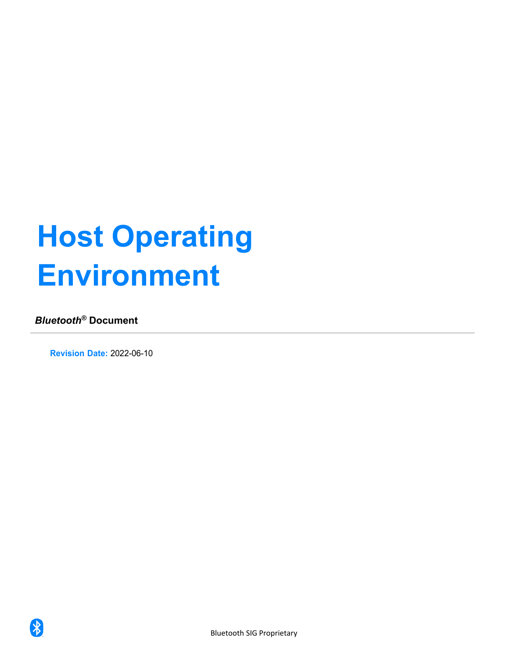# **Host Operating Environment**

## *Bluetooth®* **Document**

 $\bigstar$ 

**Revision Date:** 2022-06-10

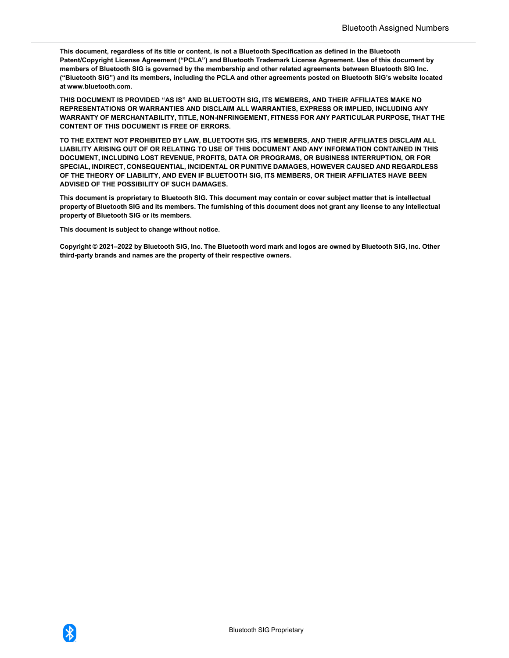**This document, regardless of its title or content, is not a Bluetooth Specification as defined in the Bluetooth Patent/Copyright License Agreement ("PCLA") and Bluetooth Trademark License Agreement. Use of this document by members of Bluetooth SIG is governed by the membership and other related agreements between Bluetooth SIG Inc. ("Bluetooth SIG") and its members, including the PCLA and other agreements posted on Bluetooth SIG's website located a[t www.bluetooth.com.](http://www.bluetooth.com/)**

**THIS DOCUMENT IS PROVIDED "AS IS" AND BLUETOOTH SIG, ITS MEMBERS, AND THEIR AFFILIATES MAKE NO REPRESENTATIONS OR WARRANTIES AND DISCLAIM ALL WARRANTIES, EXPRESS OR IMPLIED, INCLUDING ANY WARRANTY OF MERCHANTABILITY, TITLE, NON-INFRINGEMENT, FITNESS FOR ANY PARTICULAR PURPOSE, THAT THE CONTENT OF THIS DOCUMENT IS FREE OF ERRORS.** 

**TO THE EXTENT NOT PROHIBITED BY LAW, BLUETOOTH SIG, ITS MEMBERS, AND THEIR AFFILIATES DISCLAIM ALL LIABILITY ARISING OUT OF OR RELATING TO USE OF THIS DOCUMENT AND ANY INFORMATION CONTAINED IN THIS DOCUMENT, INCLUDING LOST REVENUE, PROFITS, DATA OR PROGRAMS, OR BUSINESS INTERRUPTION, OR FOR SPECIAL, INDIRECT, CONSEQUENTIAL, INCIDENTAL OR PUNITIVE DAMAGES, HOWEVER CAUSED AND REGARDLESS OF THE THEORY OF LIABILITY, AND EVEN IF BLUETOOTH SIG, ITS MEMBERS, OR THEIR AFFILIATES HAVE BEEN ADVISED OF THE POSSIBILITY OF SUCH DAMAGES.**

**This document is proprietary to Bluetooth SIG. This document may contain or cover subject matter that is intellectual property of Bluetooth SIG and its members. The furnishing of this document does not grant any license to any intellectual property of Bluetooth SIG or its members.** 

**This document is subject to change without notice.**

**Copyright © 2021–2022 by Bluetooth SIG, Inc. The Bluetooth word mark and logos are owned by Bluetooth SIG, Inc. Other third-party brands and names are the property of their respective owners.**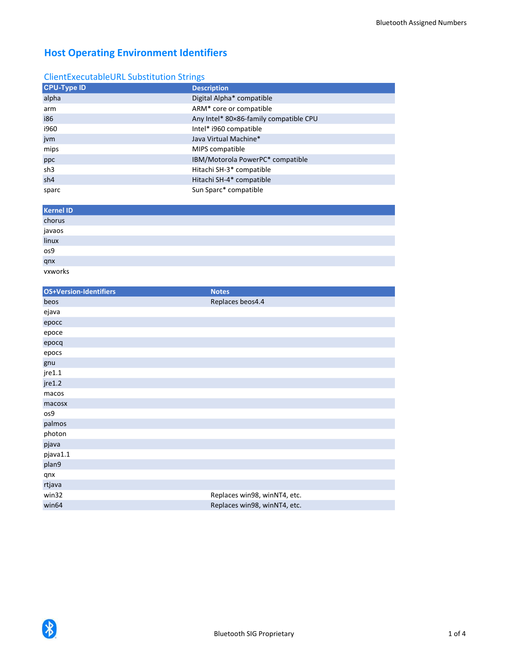#### ClientExecutableURL Substitution Strings

| <b>CPU-Type ID</b> | <b>Description</b>                     |
|--------------------|----------------------------------------|
| alpha              | Digital Alpha* compatible              |
| arm                | ARM* core or compatible                |
| i86                | Any Intel* 80×86-family compatible CPU |
| i960               | Intel* i960 compatible                 |
| jvm                | Java Virtual Machine*                  |
| mips               | MIPS compatible                        |
| ppc                | IBM/Motorola PowerPC* compatible       |
| sh3                | Hitachi SH-3* compatible               |
| sh4                | Hitachi SH-4* compatible               |
| sparc              | Sun Sparc* compatible                  |

| <b>Kernel ID</b>                 |  |  |
|----------------------------------|--|--|
| chorus<br>javaos<br>linux<br>os9 |  |  |
|                                  |  |  |
|                                  |  |  |
|                                  |  |  |
|                                  |  |  |
| qnx<br>vxworks                   |  |  |

| <b>OS+Version-Identifiers</b> | <b>Notes</b>                 |
|-------------------------------|------------------------------|
| beos                          | Replaces beos4.4             |
| ejava                         |                              |
| epocc                         |                              |
| epoce                         |                              |
| epocq                         |                              |
| epocs                         |                              |
| gnu                           |                              |
| jre1.1                        |                              |
| jre1.2                        |                              |
| macos                         |                              |
| macosx                        |                              |
| os9                           |                              |
| palmos                        |                              |
| photon                        |                              |
| pjava                         |                              |
| pjava1.1                      |                              |
| plan9                         |                              |
| qnx                           |                              |
| rtjava                        |                              |
| win32                         | Replaces win98, winNT4, etc. |
| win64                         | Replaces win98, winNT4, etc. |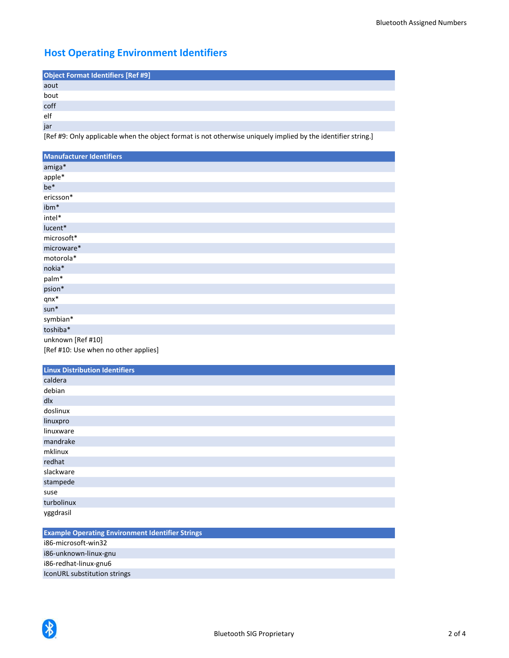| <b>Object Format Identifiers [Ref #9]</b> |  |
|-------------------------------------------|--|
| aout                                      |  |
| bout                                      |  |
| coff                                      |  |
| elf                                       |  |
| jar                                       |  |

[Ref #9: Only applicable when the object format is not otherwise uniquely implied by the identifier string.]

| <b>Manufacturer Identifiers</b>      |
|--------------------------------------|
| amiga*                               |
| apple*                               |
| be*                                  |
| ericsson*                            |
| ibm*                                 |
| intel*                               |
| lucent*                              |
| microsoft*                           |
| microware*                           |
| motorola*                            |
| nokia*                               |
| palm*                                |
| psion*                               |
| $qnx^*$                              |
| $sun*$                               |
| symbian*                             |
| toshiba*                             |
| unknown [Ref #10]                    |
| [Ref #10: Use when no other applies] |

| <b>Linux Distribution Identifiers</b> |
|---------------------------------------|
| caldera                               |
| debian                                |
| dlx                                   |
| doslinux                              |
| linuxpro                              |
| linuxware                             |
| mandrake                              |
| mklinux                               |
| redhat                                |
| slackware                             |
| stampede                              |
| suse                                  |
| turbolinux                            |
| yggdrasil                             |

| <b>Example Operating Environment Identifier Strings</b> |
|---------------------------------------------------------|
| i86-microsoft-win32                                     |
| i86-unknown-linux-gnu                                   |
| i86-redhat-linux-gnu6                                   |
| IconURL substitution strings                            |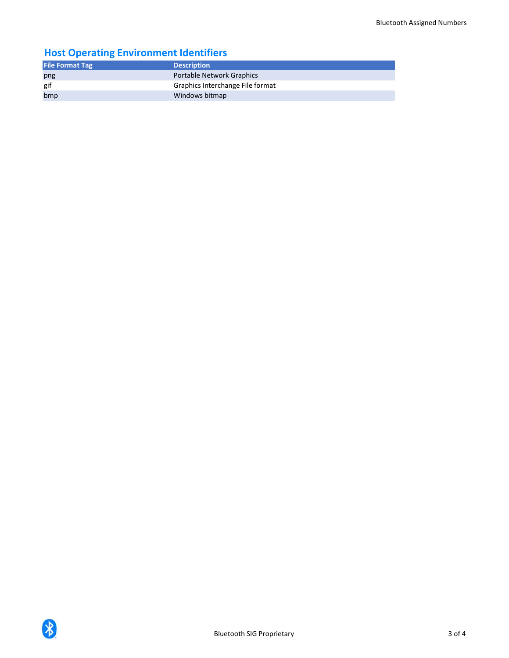| <b>File Format Tag</b> | <b>Description</b>               |
|------------------------|----------------------------------|
| png                    | <b>Portable Network Graphics</b> |
| gif                    | Graphics Interchange File format |
| bmp                    | Windows bitmap                   |